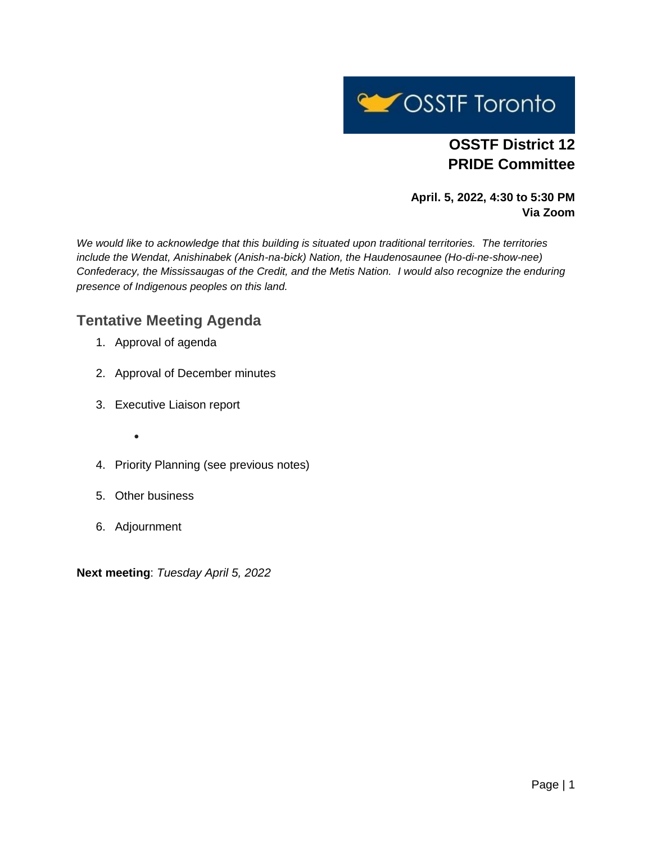

# **OSSTF District 12 PRIDE Committee**

**April. 5, 2022, 4:30 to 5:30 PM Via Zoom**

*We would like to acknowledge that this building is situated upon traditional territories. The territories include the Wendat, Anishinabek (Anish-na-bick) Nation, the Haudenosaunee (Ho-di-ne-show-nee) Confederacy, the Mississaugas of the Credit, and the Metis Nation. I would also recognize the enduring presence of Indigenous peoples on this land.*

## **Tentative Meeting Agenda**

- 1. Approval of agenda
- 2. Approval of December minutes
- 3. Executive Liaison report
	- $\bullet$
- 4. Priority Planning (see previous notes)
- 5. Other business
- 6. Adjournment

**Next meeting**: *Tuesday April 5, 2022*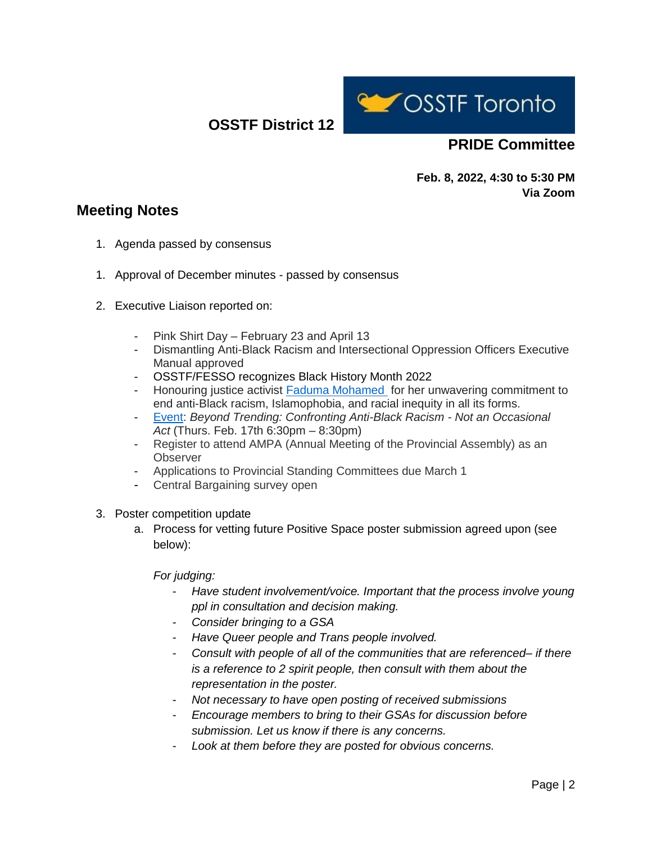**OSSTF District 12**



## **PRIDE Committee**

**Feb. 8, 2022, 4:30 to 5:30 PM Via Zoom**

## **Meeting Notes**

- 1. Agenda passed by consensus
- 1. Approval of December minutes passed by consensus
- 2. Executive Liaison reported on:
	- Pink Shirt Day February 23 and April 13
	- Dismantling Anti-Black Racism and Intersectional Oppression Officers Executive Manual approved
	- OSSTF/FESSO recognizes Black History Month 2022
	- Honouring justice activist [Faduma Mohamed](https://ofl.ca/2022-legacy-series-faduma-mohamed/) for her unwavering commitment to end anti-Black racism, Islamophobia, and racial inequity in all its forms.
	- [Event:](https://www.labourcommunityservices.ca/2022BHMevent) *Beyond Trending: Confronting Anti-Black Racism - Not an Occasional Act* (Thurs. Feb. 17th 6:30pm – 8:30pm)
	- Register to attend AMPA (Annual Meeting of the Provincial Assembly) as an **Observer**
	- Applications to Provincial Standing Committees due March 1
	- Central Bargaining survey open
- 3. Poster competition update
	- a. Process for vetting future Positive Space poster submission agreed upon (see below):

#### *For judging:*

- Have student involvement/voice. Important that the process involve young *ppl in consultation and decision making.*
- *Consider bringing to a GSA*
- *Have Queer people and Trans people involved.*
- *Consult with people of all of the communities that are referenced– if there is a reference to 2 spirit people, then consult with them about the representation in the poster.*
- *Not necessary to have open posting of received submissions*
- *Encourage members to bring to their GSAs for discussion before submission. Let us know if there is any concerns.*
- Look at them before they are posted for obvious concerns.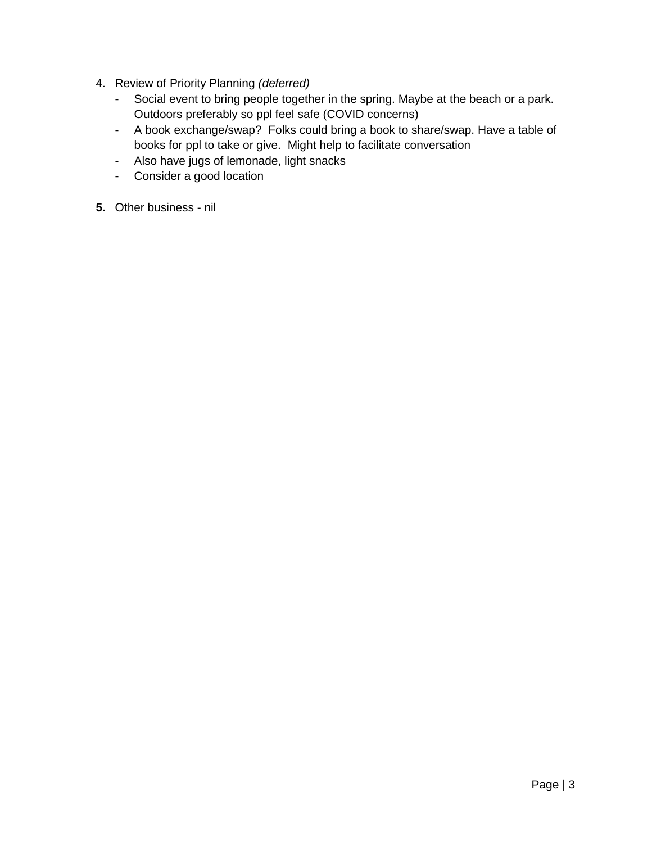- 4. Review of Priority Planning *(deferred)*
	- Social event to bring people together in the spring. Maybe at the beach or a park. Outdoors preferably so ppl feel safe (COVID concerns)
	- A book exchange/swap? Folks could bring a book to share/swap. Have a table of books for ppl to take or give. Might help to facilitate conversation
	- Also have jugs of lemonade, light snacks
	- Consider a good location
- **5.** Other business nil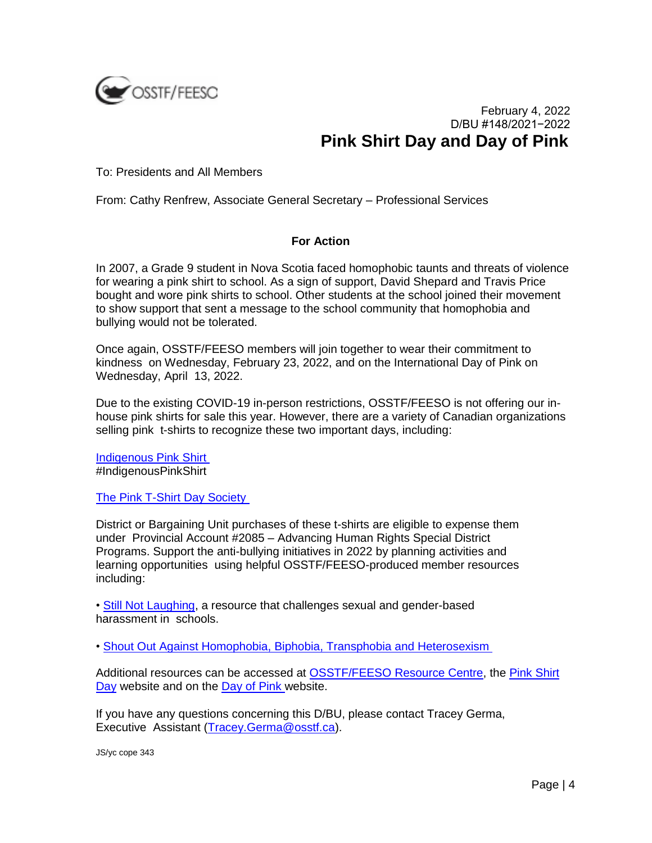

### February 4, 2022 D/BU #148/2021−2022 **Pink Shirt Day and Day of Pink**

To: Presidents and All Members

From: Cathy Renfrew, Associate General Secretary – Professional Services

#### **For Action**

In 2007, a Grade 9 student in Nova Scotia faced homophobic taunts and threats of violence for wearing a pink shirt to school. As a sign of support, David Shepard and Travis Price bought and wore pink shirts to school. Other students at the school joined their movement to show support that sent a message to the school community that homophobia and bullying would not be tolerated.

Once again, OSSTF/FEESO members will join together to wear their commitment to kindness on Wednesday, February 23, 2022, and on the International Day of Pink on Wednesday, April 13, 2022.

Due to the existing COVID-19 in-person restrictions, OSSTF/FEESO is not offering our inhouse pink shirts for sale this year. However, there are a variety of Canadian organizations selling pink t-shirts to recognize these two important days, including:

[Indigenous Pink Shirt](https://leadingedgepromo.ca/product-category/indigenous-pink-shirt/) #IndigenousPinkShirt

[The Pink T-Shirt Day Society](http://www.pinktshirtday.ca/buy-a-t-shirt.html)

District or Bargaining Unit purchases of these t-shirts are eligible to expense them under Provincial Account #2085 – Advancing Human Rights Special District Programs. Support the anti-bullying initiatives in 2022 by planning activities and learning opportunities using helpful OSSTF/FEESO-produced member resources including:

• [Still Not Laughing,](https://www.osstf.on.ca/SNL) a resource that challenges sexual and gender-based harassment in schools.

• [Shout Out Against Homophobia, Biphobia, Transphobia and Heterosexism](https://www.osstf.on.ca/en-CA/resource-centre/educators-resources/shout-out-against-homophobia-biphobia-transphobia-and-heterosexism.aspx)

Additional resources can be accessed at [OSSTF/FEESO Resource Centre,](https://www.osstf.on.ca/resource-centre) the [Pink Shirt](http://www.pinktshirtday.ca/buy-a-t-shirt.html)  [Day](http://www.pinktshirtday.ca/buy-a-t-shirt.html) website and on the [Day of Pink](https://www.dayofpink.org/) website.

If you have any questions concerning this D/BU, please contact Tracey Germa, Executive Assistant (Tracey.Germa@osstf.ca).

JS/yc cope 343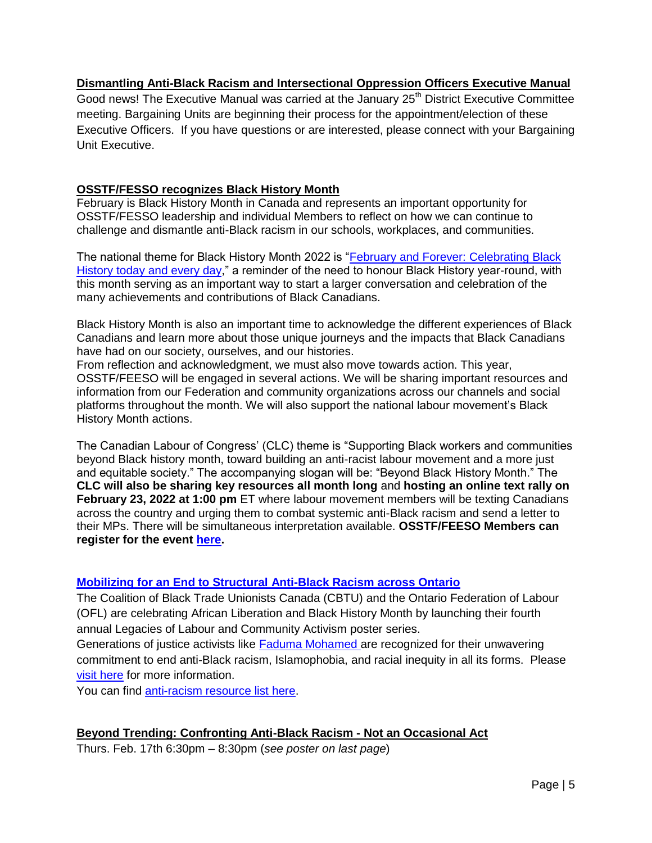#### **Dismantling Anti-Black Racism and Intersectional Oppression Officers Executive Manual**

Good news! The Executive Manual was carried at the January 25<sup>th</sup> District Executive Committee meeting. Bargaining Units are beginning their process for the appointment/election of these Executive Officers. If you have questions or are interested, please connect with your Bargaining Unit Executive.

#### **OSSTF/FESSO recognizes Black History Month**

February is Black History Month in Canada and represents an important opportunity for OSSTF/FESSO leadership and individual Members to reflect on how we can continue to challenge and dismantle anti-Black racism in our schools, workplaces, and communities.

The national theme for Black History Month 2022 is "February and Forever: Celebrating Black [History today and every day,](https://www.canada.ca/en/canadian-heritage/campaigns/black-history-month.html)" a reminder of the need to honour Black History year-round, with this month serving as an important way to start a larger conversation and celebration of the many achievements and contributions of Black Canadians.

Black History Month is also an important time to acknowledge the different experiences of Black Canadians and learn more about those unique journeys and the impacts that Black Canadians have had on our society, ourselves, and our histories.

From reflection and acknowledgment, we must also move towards action. This year, OSSTF/FEESO will be engaged in several actions. We will be sharing important resources and information from our Federation and community organizations across our channels and social platforms throughout the month. We will also support the national labour movement's Black History Month actions.

The Canadian Labour of Congress' (CLC) theme is "Supporting Black workers and communities beyond Black history month, toward building an anti-racist labour movement and a more just and equitable society." The accompanying slogan will be: "Beyond Black History Month." The **CLC will also be sharing key resources all month long** and **hosting an online text rally on February 23, 2022 at 1:00 pm** ET where labour movement members will be texting Canadians across the country and urging them to combat systemic anti-Black racism and send a letter to their MPs. There will be simultaneous interpretation available. **OSSTF/FEESO Members can register for the event [here.](https://us02web.zoom.us/meeting/register/tZIsfuGsqDgvHdFQWhyPqgpGPfg7A0wtI40T)**

#### **[Mobilizing for an End to Structural Anti-Black Racism across Ontario](https://ofl.ca/2022-legacy-series-faduma-mohamed/)**

The Coalition of Black Trade Unionists Canada (CBTU) and the Ontario Federation of Labour (OFL) are celebrating African Liberation and Black History Month by launching their fourth annual Legacies of Labour and Community Activism poster series.

Generations of justice activists like **[Faduma Mohamed](https://ofl.ca/wp-content/uploads/2022-OFL-Legacies-Series-Poster_8.5x11.pdf) are recognized for their unwavering** commitment to end anti-Black racism, Islamophobia, and racial inequity in all its forms. Please [visit here](https://ofl.ca/2022-legacy-series-faduma-mohamed/) for more information.

You can find [anti-racism resource list here.](https://ofl.ca/anti-racism-resource-list/)

#### **Beyond Trending: Confronting Anti-Black Racism - Not an Occasional Act**

Thurs. Feb. 17th 6:30pm – 8:30pm (*see poster on last page*)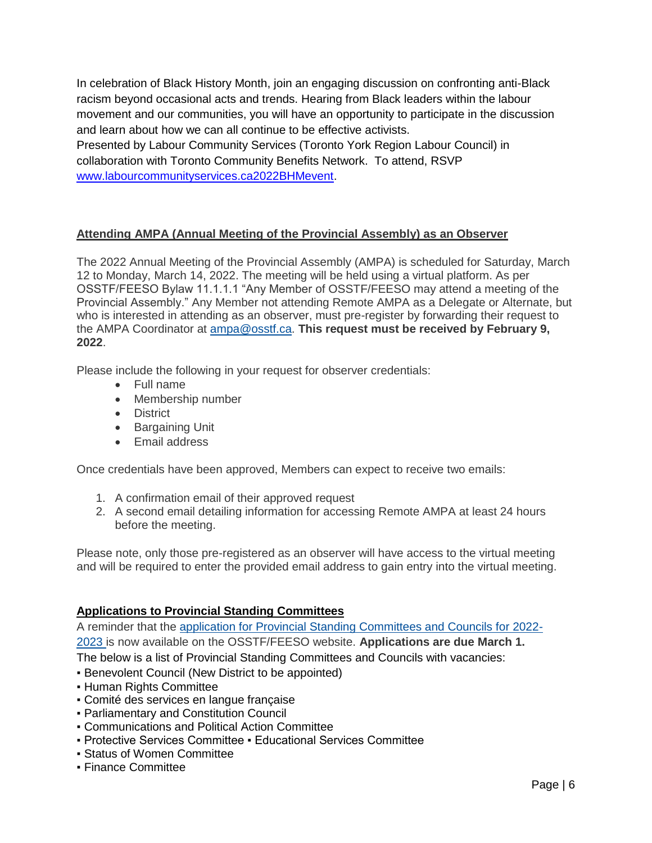In celebration of Black History Month, join an engaging discussion on confronting anti-Black racism beyond occasional acts and trends. Hearing from Black leaders within the labour movement and our communities, you will have an opportunity to participate in the discussion and learn about how we can all continue to be effective activists. Presented by Labour Community Services (Toronto York Region Labour Council) in collaboration with Toronto Community Benefits Network. To attend, RSVP [www.labourcommunityservices.ca2022BHMevent.](http://www.labourcommunityservices.ca2022bhmevent/)

#### **Attending AMPA (Annual Meeting of the Provincial Assembly) as an Observer**

The 2022 Annual Meeting of the Provincial Assembly (AMPA) is scheduled for Saturday, March 12 to Monday, March 14, 2022. The meeting will be held using a virtual platform. As per OSSTF/FEESO Bylaw 11.1.1.1 "Any Member of OSSTF/FEESO may attend a meeting of the Provincial Assembly." Any Member not attending Remote AMPA as a Delegate or Alternate, but who is interested in attending as an observer, must pre-register by forwarding their request to the AMPA Coordinator at [ampa@osstf.ca.](mailto:ampa@osstf.ca) **This request must be received by February 9, 2022**.

Please include the following in your request for observer credentials:

- Full name
- Membership number
- **•** District
- **•** Bargaining Unit
- Fmail address

Once credentials have been approved, Members can expect to receive two emails:

- 1. A confirmation email of their approved request
- 2. A second email detailing information for accessing Remote AMPA at least 24 hours before the meeting.

Please note, only those pre-registered as an observer will have access to the virtual meeting and will be required to enter the provided email address to gain entry into the virtual meeting.

#### **Applications to Provincial Standing Committees**

A reminder that the [application for Provincial Standing Committees and Councils for 2022-](https://osstftoronto.ca/wp-content/uploads/2022/01/126-Application-to-Provincial-Standing-Committees-Councils.pdf) [2023](https://osstftoronto.ca/wp-content/uploads/2022/01/126-Application-to-Provincial-Standing-Committees-Councils.pdf) is now available on the OSSTF/FEESO website. **Applications are due March 1.**  The below is a list of Provincial Standing Committees and Councils with vacancies:

- **Benevolent Council (New District to be appointed)**
- **Human Rights Committee**
- Comité des services en langue française
- Parliamentary and Constitution Council
- Communications and Political Action Committee
- Protective Services Committee Educational Services Committee
- Status of Women Committee
- Finance Committee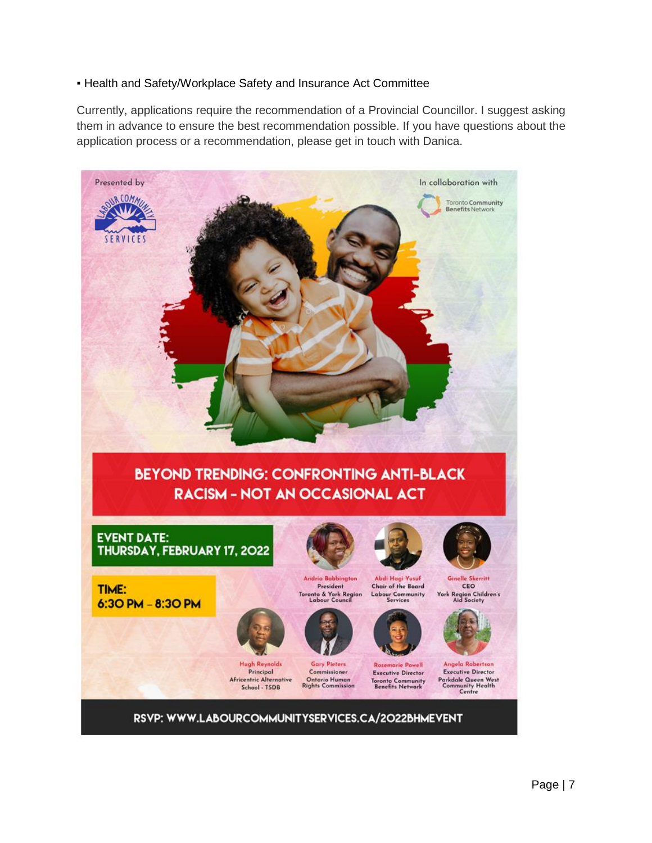#### **.** Health and Safety/Workplace Safety and Insurance Act Committee

Currently, applications require the recommendation of a Provincial Councillor. I suggest asking them in advance to ensure the best recommendation possible. If you have questions about the application process or a recommendation, please get in touch with Danica.